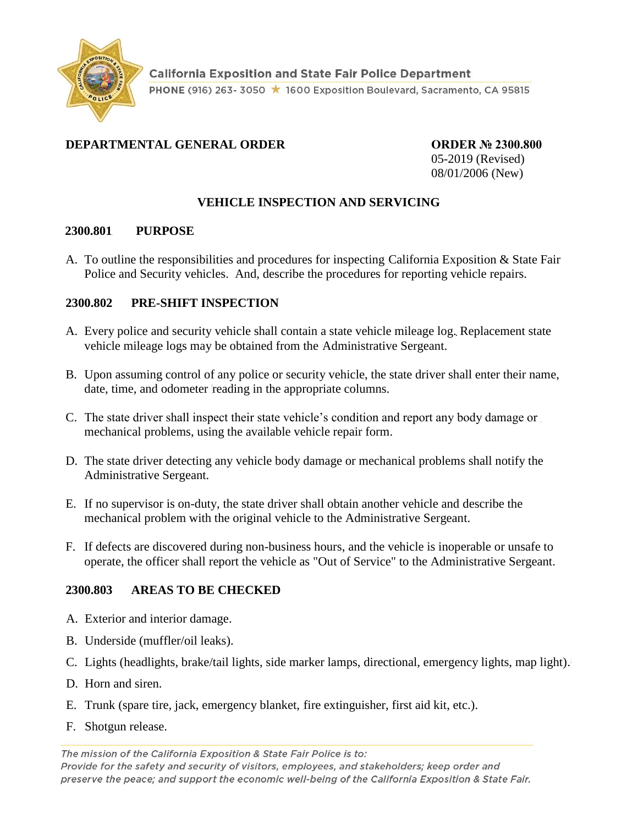

# **DEPARTMENTAL GENERAL ORDER ORDER № 2300.800**

05-2019 (Revised) 08/01/2006 (New)

# **VEHICLE INSPECTION AND SERVICING**

#### **2300.801 PURPOSE**

A. To outline the responsibilities and procedures for inspecting California Exposition & State Fair Police and Security vehicles. And, describe the procedures for reporting vehicle repairs.

## **2300.802 PRE-SHIFT INSPECTION**

- A. Every police and security vehicle shall contain a state vehicle mileage log. Replacement state vehicle mileage logs may be obtained from the Administrative Sergeant.
- B. Upon assuming control of any police or security vehicle, the state driver shall enter their name, date, time, and odometer reading in the appropriate columns.
- C. The state driver shall inspect their state vehicle's condition and report any body damage or mechanical problems, using the available vehicle repair form.
- D. The state driver detecting any vehicle body damage or mechanical problems shall notify the Administrative Sergeant.
- E. If no supervisor is on-duty, the state driver shall obtain another vehicle and describe the mechanical problem with the original vehicle to the Administrative Sergeant.
- F. If defects are discovered during non-business hours, and the vehicle is inoperable or unsafe to operate, the officer shall report the vehicle as "Out of Service" to the Administrative Sergeant.

### **2300.803 AREAS TO BE CHECKED**

- A. Exterior and interior damage.
- B. Underside (muffler/oil leaks).
- C. Lights (headlights, brake/tail lights, side marker lamps, directional, emergency lights, map light).
- D. Horn and siren.
- E. Trunk (spare tire, jack, emergency blanket, fire extinguisher, first aid kit, etc.).
- F. Shotgun release.

The mission of the California Exposition & State Fair Police is to: Provide for the safety and security of visitors, employees, and stakeholders; keep order and preserve the peace; and support the economic well-being of the California Exposition & State Fair.